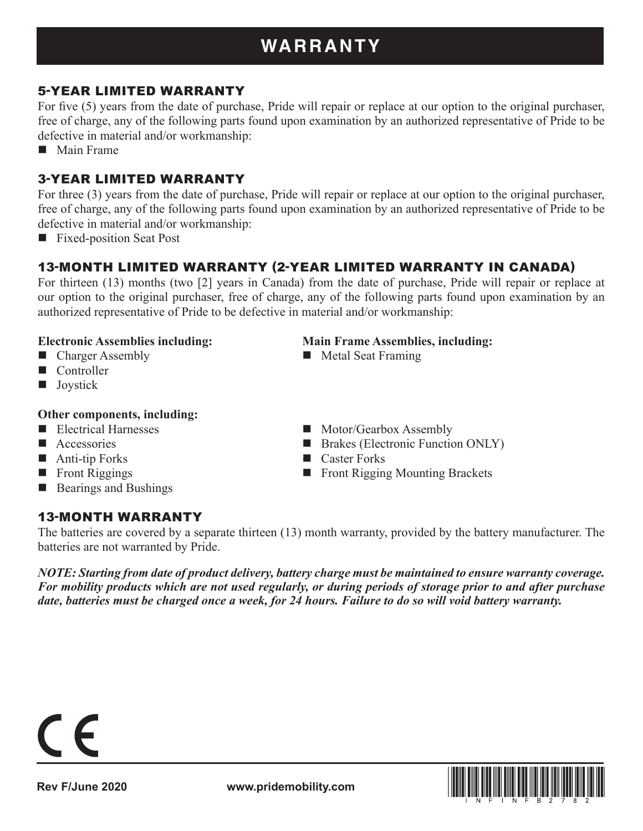# **WARRANTY**

# 5-YEAR LIMITED WARRANTY

For five (5) years from the date of purchase, Pride will repair or replace at our option to the original purchaser, free of charge, any of the following parts found upon examination by an authorized representative of Pride to be defective in material and/or workmanship:

**Main Frame** 

## 3-YEAR LIMITED WARRANTY

For three (3) years from the date of purchase, Pride will repair or replace at our option to the original purchaser, free of charge, any of the following parts found upon examination by an authorized representative of Pride to be defective in material and/or workmanship:

**Fixed-position Seat Post** 

# 13-MONTH LIMITED WARRANTY (2-YEAR LIMITED WARRANTY IN CANADA)

For thirteen (13) months (two [2] years in Canada) from the date of purchase, Pride will repair or replace at our option to the original purchaser, free of charge, any of the following parts found upon examination by an authorized representative of Pride to be defective in material and/or workmanship:

#### **Electronic Assemblies including: Main Frame Assemblies, including:**

- Charger Assembly Metal Seat Framing
- Controller
- **Joystick**

#### **Other components, including:**

- 
- 
- Anti-tip Forks Caster Forks
- 
- Bearings and Bushings

#### 13-MONTH WARRANTY

The batteries are covered by a separate thirteen (13) month warranty, provided by the battery manufacturer. The

batteries are not warranted by Pride.

*NOTE: Starting from date of product delivery, battery charge must be maintained to ensure warranty coverage. For mobility products which are not used regularly, or during periods of storage prior to and after purchase date, batteries must be charged once a week, for 24 hours. Failure to do so will void battery warranty.*



- Electrical Harnesses Motor/Gearbox Assembly
- Accessories Brakes (Electronic Function ONLY)
	-
- Front Riggings Front Rigging Mounting Brackets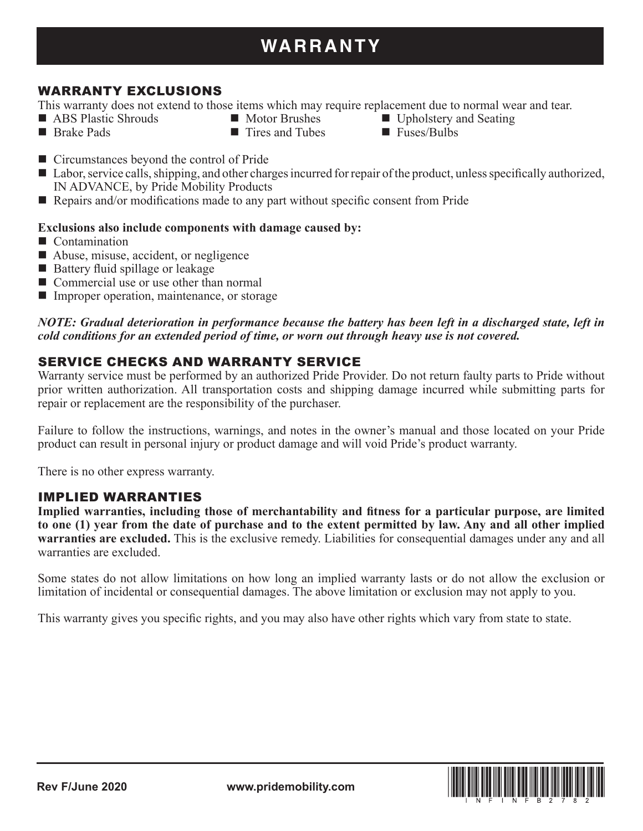# WARRANTY EXCLUSIONS

This warranty does not extend to those items which may require replacement due to normal wear and tear.

- **ABS Plastic Shrouds Motor Brushes M** Upholstery and Seating
	-
- 
- Brake Pads Tires and Tubes Fuses/Bulbs
- Circumstances beyond the control of Pride
- Labor, service calls, shipping, and other charges incurred for repair of the product, unless specifically authorized, IN ADVANCE, by Pride Mobility Products
- Repairs and/or modifications made to any part without specific consent from Pride

#### **Exclusions also include components with damage caused by:**

- Contamination
- Abuse, misuse, accident, or negligence
- Battery fluid spillage or leakage
- Commercial use or use other than normal
- Improper operation, maintenance, or storage

#### *NOTE: Gradual deterioration in performance because the battery has been left in a discharged state, left in cold conditions for an extended period of time, or worn out through heavy use is not covered.*

# SERVICE CHECKS AND WARRANTY SERVICE

Warranty service must be performed by an authorized Pride Provider. Do not return faulty parts to Pride without prior written authorization. All transportation costs and shipping damage incurred while submitting parts for repair or replacement are the responsibility of the purchaser.

Failure to follow the instructions, warnings, and notes in the owner's manual and those located on your Pride product can result in personal injury or product damage and will void Pride's product warranty.

There is no other express warranty.

#### IMPLIED WARRANTIES

**Implied warranties, including those of merchantability and fitness for a particular purpose, are limited to one (1) year from the date of purchase and to the extent permitted by law. Any and all other implied warranties are excluded.** This is the exclusive remedy. Liabilities for consequential damages under any and all warranties are excluded.

Some states do not allow limitations on how long an implied warranty lasts or do not allow the exclusion or limitation of incidental or consequential damages. The above limitation or exclusion may not apply to you.

This warranty gives you specific rights, and you may also have other rights which vary from state to state.

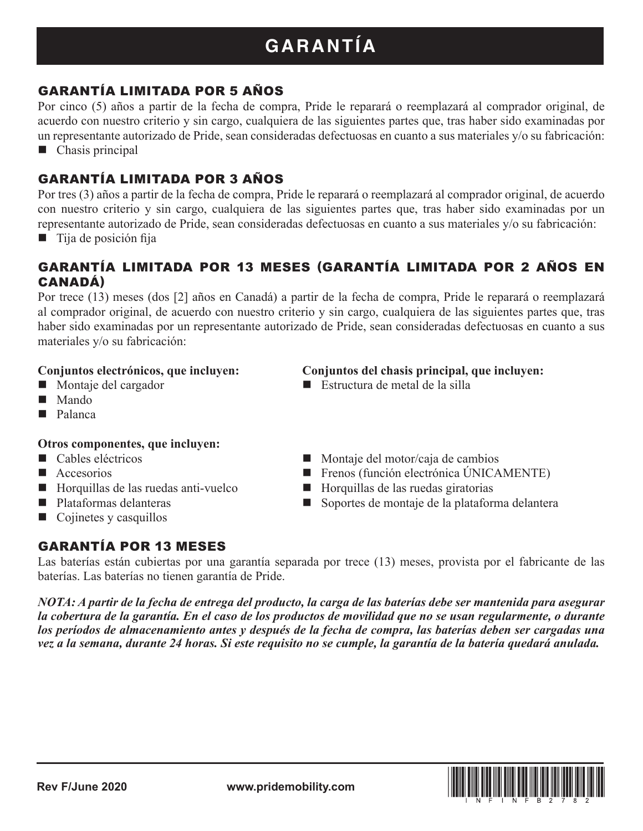# **GARANTÍA**

# GARANTÍA LIMITADA POR 5 AÑOS

Por cinco (5) años a partir de la fecha de compra, Pride le reparará o reemplazará al comprador original, de acuerdo con nuestro criterio y sin cargo, cualquiera de las siguientes partes que, tras haber sido examinadas por un representante autorizado de Pride, sean consideradas defectuosas en cuanto a sus materiales y/o su fabricación:

■ Chasis principal

# GARANTÍA LIMITADA POR 3 AÑOS

Por tres (3) años a partir de la fecha de compra, Pride le reparará o reemplazará al comprador original, de acuerdo con nuestro criterio y sin cargo, cualquiera de las siguientes partes que, tras haber sido examinadas por un representante autorizado de Pride, sean consideradas defectuosas en cuanto a sus materiales y/o su fabricación:

 $\blacksquare$  Tija de posición fija

## GARANTÍA LIMITADA POR 13 MESES (GARANTÍA LIMITADA POR 2 AÑOS EN CANADÁ)

Por trece (13) meses (dos [2] años en Canadá) a partir de la fecha de compra, Pride le reparará o reemplazará al comprador original, de acuerdo con nuestro criterio y sin cargo, cualquiera de las siguientes partes que, tras haber sido examinadas por un representante autorizado de Pride, sean consideradas defectuosas en cuanto a sus materiales y/o su fabricación:

- 
- Mando
- **Palanca**

#### **Otros componentes, que incluyen:**

- 
- 
- $\Box$  Horquillas de las ruedas anti-vuelco  $\Box$  Horquillas de las ruedas giratorias
- 
- $\Box$  Cojinetes y casquillos

# GARANTÍA POR 13 MESES

#### **Conjuntos electrónicos, que incluyen: Conjuntos del chasis principal, que incluyen:**

- Montaje del cargador **Estructura de metal de la silla**
- Cables eléctricos Montaje del motor/caja de cambios
- $\blacksquare$  Accesorios  $\blacksquare$  Frenos (función electrónica ÚNICAMENTE)
	-
- Plataformas delanteras Soportes de montaje de la plataforma delantera

Las baterías están cubiertas por una garantía separada por trece (13) meses, provista por el fabricante de las baterías. Las baterías no tienen garantía de Pride.

*NOTA: A partir de la fecha de entrega del producto, la carga de las baterías debe ser mantenida para asegurar la cobertura de la garantía. En el caso de los productos de movilidad que no se usan regularmente, o durante los períodos de almacenamiento antes y después de la fecha de compra, las baterías deben ser cargadas una vez a la semana, durante 24 horas. Si este requisito no se cumple, la garantía de la batería quedará anulada.*